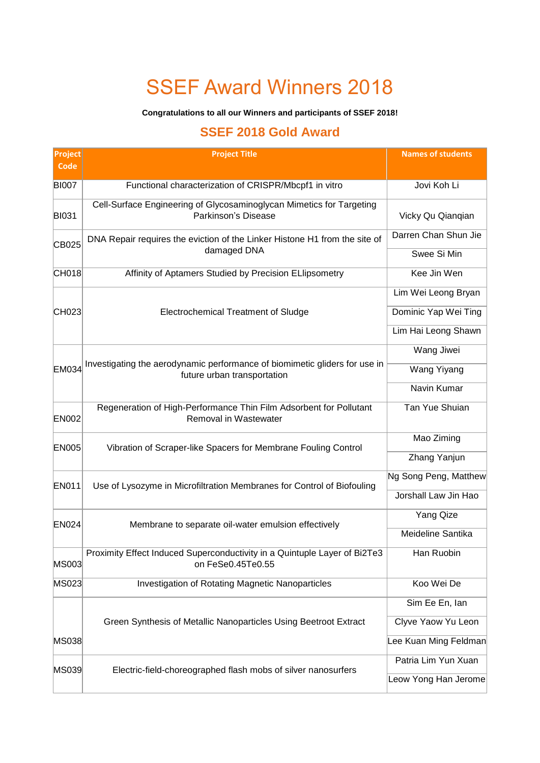# SSEF Award Winners 2018

#### **Congratulations to all our Winners and participants of SSEF 2018!**

#### **SSEF 2018 Gold Award**

| <b>Project</b><br>Code | <b>Project Title</b>                                                                                      | <b>Names of students</b> |  |  |
|------------------------|-----------------------------------------------------------------------------------------------------------|--------------------------|--|--|
| <b>BI007</b>           | Functional characterization of CRISPR/Mbcpf1 in vitro                                                     | Jovi Koh Li              |  |  |
| <b>BI031</b>           | Cell-Surface Engineering of Glycosaminoglycan Mimetics for Targeting<br>Parkinson's Disease               | Vicky Qu Qianqian        |  |  |
| CB025                  | DNA Repair requires the eviction of the Linker Histone H1 from the site of                                | Darren Chan Shun Jie     |  |  |
|                        | damaged DNA                                                                                               | Swee Si Min              |  |  |
| CH018                  | Affinity of Aptamers Studied by Precision ELIipsometry                                                    | Kee Jin Wen              |  |  |
|                        |                                                                                                           | Lim Wei Leong Bryan      |  |  |
| CH023                  | <b>Electrochemical Treatment of Sludge</b>                                                                | Dominic Yap Wei Ting     |  |  |
|                        |                                                                                                           | Lim Hai Leong Shawn      |  |  |
|                        |                                                                                                           | Wang Jiwei               |  |  |
| <b>EM034</b>           | Investigating the aerodynamic performance of biomimetic gliders for use in<br>future urban transportation | Wang Yiyang              |  |  |
|                        |                                                                                                           | Navin Kumar              |  |  |
| <b>EN002</b>           | Regeneration of High-Performance Thin Film Adsorbent for Pollutant<br>Removal in Wastewater               | Tan Yue Shuian           |  |  |
| <b>EN005</b>           | Vibration of Scraper-like Spacers for Membrane Fouling Control                                            | Mao Ziming               |  |  |
|                        |                                                                                                           | Zhang Yanjun             |  |  |
| <b>EN011</b>           | Use of Lysozyme in Microfiltration Membranes for Control of Biofouling                                    | Ng Song Peng, Matthew    |  |  |
|                        |                                                                                                           | Jorshall Law Jin Hao     |  |  |
| <b>EN024</b>           | Membrane to separate oil-water emulsion effectively                                                       | Yang Qize                |  |  |
|                        |                                                                                                           | Meideline Santika        |  |  |
| <b>MS003</b>           | Proximity Effect Induced Superconductivity in a Quintuple Layer of Bi2Te3<br>on FeSe0.45Te0.55            | Han Ruobin               |  |  |
| MS023                  | Investigation of Rotating Magnetic Nanoparticles                                                          | Koo Wei De               |  |  |
|                        |                                                                                                           | Sim Ee En, lan           |  |  |
|                        | Green Synthesis of Metallic Nanoparticles Using Beetroot Extract                                          | Clyve Yaow Yu Leon       |  |  |
| <b>MS038</b>           |                                                                                                           | Lee Kuan Ming Feldman    |  |  |
| MS039                  | Electric-field-choreographed flash mobs of silver nanosurfers                                             | Patria Lim Yun Xuan      |  |  |
|                        |                                                                                                           | Leow Yong Han Jerome     |  |  |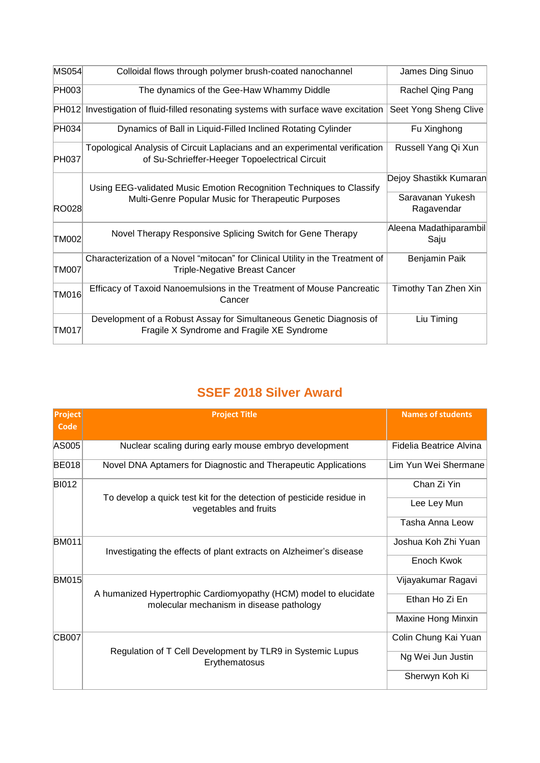| MS054        | Colloidal flows through polymer brush-coated nanochannel                                                                      | James Ding Sinuo               |
|--------------|-------------------------------------------------------------------------------------------------------------------------------|--------------------------------|
| PH003        | The dynamics of the Gee-Haw Whammy Diddle                                                                                     | Rachel Qing Pang               |
|              | PH012 Investigation of fluid-filled resonating systems with surface wave excitation                                           | Seet Yong Sheng Clive          |
| PH034        | Dynamics of Ball in Liquid-Filled Inclined Rotating Cylinder                                                                  | Fu Xinghong                    |
| PH037        | Topological Analysis of Circuit Laplacians and an experimental verification<br>of Su-Schrieffer-Heeger Topoelectrical Circuit | Russell Yang Qi Xun            |
|              | Using EEG-validated Music Emotion Recognition Techniques to Classify                                                          | Dejoy Shastikk Kumaran         |
| <b>RO028</b> | Multi-Genre Popular Music for Therapeutic Purposes                                                                            | Saravanan Yukesh<br>Ragavendar |
| <b>TM002</b> | Novel Therapy Responsive Splicing Switch for Gene Therapy                                                                     | Aleena Madathiparambil<br>Saju |
| <b>TM007</b> | Characterization of a Novel "mitocan" for Clinical Utility in the Treatment of<br><b>Triple-Negative Breast Cancer</b>        | Benjamin Paik                  |
| TM016        | Efficacy of Taxoid Nanoemulsions in the Treatment of Mouse Pancreatic<br>Cancer                                               | Timothy Tan Zhen Xin           |
| TM017        | Development of a Robust Assay for Simultaneous Genetic Diagnosis of<br>Fragile X Syndrome and Fragile XE Syndrome             | Liu Timing                     |

#### **SSEF 2018 Silver Award**

| <b>Project</b><br>Code | <b>Project Title</b>                                                                                         | <b>Names of students</b>  |
|------------------------|--------------------------------------------------------------------------------------------------------------|---------------------------|
| AS005                  | Nuclear scaling during early mouse embryo development                                                        | Fidelia Beatrice Alvina   |
| <b>BE018</b>           | Novel DNA Aptamers for Diagnostic and Therapeutic Applications                                               | Lim Yun Wei Shermane      |
| <b>BI012</b>           |                                                                                                              | Chan Zi Yin               |
|                        | To develop a quick test kit for the detection of pesticide residue in<br>vegetables and fruits               | Lee Ley Mun               |
|                        |                                                                                                              | Tasha Anna Leow           |
| <b>BM011</b>           | Investigating the effects of plant extracts on Alzheimer's disease                                           | Joshua Koh Zhi Yuan       |
|                        |                                                                                                              | Enoch Kwok                |
| <b>BM015</b>           | A humanized Hypertrophic Cardiomyopathy (HCM) model to elucidate<br>molecular mechanism in disease pathology | Vijayakumar Ragavi        |
|                        |                                                                                                              | Ethan Ho Zi En            |
|                        |                                                                                                              | <b>Maxine Hong Minxin</b> |
| <b>CB007</b>           |                                                                                                              | Colin Chung Kai Yuan      |
|                        | Regulation of T Cell Development by TLR9 in Systemic Lupus<br>Erythematosus                                  | Ng Wei Jun Justin         |
|                        |                                                                                                              | Sherwyn Koh Ki            |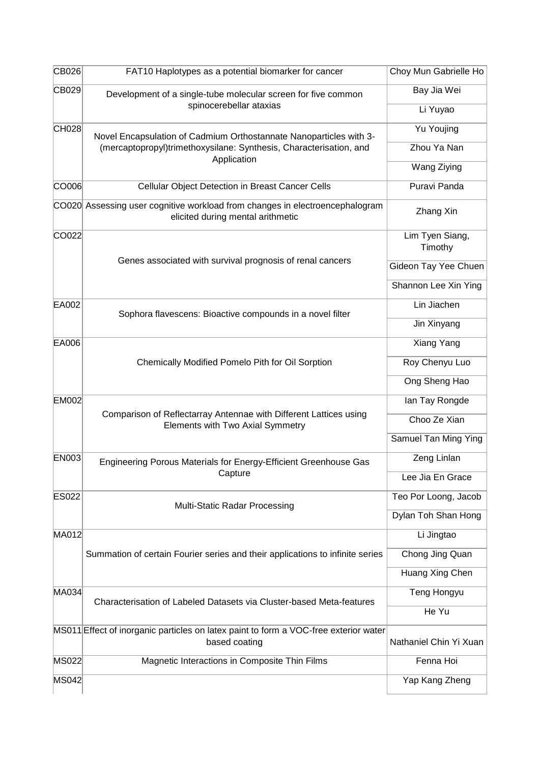| CB026        | FAT10 Haplotypes as a potential biomarker for cancer                                                              | Choy Mun Gabrielle Ho      |
|--------------|-------------------------------------------------------------------------------------------------------------------|----------------------------|
| CB029        | Development of a single-tube molecular screen for five common                                                     | Bay Jia Wei                |
|              | spinocerebellar ataxias                                                                                           | Li Yuyao                   |
| CH028        | Novel Encapsulation of Cadmium Orthostannate Nanoparticles with 3-                                                | Yu Youjing                 |
|              | (mercaptopropyl)trimethoxysilane: Synthesis, Characterisation, and<br>Application                                 | Zhou Ya Nan                |
|              |                                                                                                                   | Wang Ziying                |
| CO006        | Cellular Object Detection in Breast Cancer Cells                                                                  | Puravi Panda               |
|              | CO020 Assessing user cognitive workload from changes in electroencephalogram<br>elicited during mental arithmetic | Zhang Xin                  |
| CO022        |                                                                                                                   | Lim Tyen Siang,<br>Timothy |
|              | Genes associated with survival prognosis of renal cancers                                                         | Gideon Tay Yee Chuen       |
|              |                                                                                                                   | Shannon Lee Xin Ying       |
| EA002        | Sophora flavescens: Bioactive compounds in a novel filter                                                         | Lin Jiachen                |
|              |                                                                                                                   | Jin Xinyang                |
| EA006        |                                                                                                                   | Xiang Yang                 |
|              | Chemically Modified Pomelo Pith for Oil Sorption                                                                  | Roy Chenyu Luo             |
|              |                                                                                                                   | Ong Sheng Hao              |
| <b>EM002</b> |                                                                                                                   | lan Tay Rongde             |
|              | Comparison of Reflectarray Antennae with Different Lattices using<br>Elements with Two Axial Symmetry             | Choo Ze Xian               |
|              |                                                                                                                   | Samuel Tan Ming Ying       |
| <b>EN003</b> | Engineering Porous Materials for Energy-Efficient Greenhouse Gas                                                  | Zeng Linlan                |
|              | Capture                                                                                                           | Lee Jia En Grace           |
| <b>ES022</b> | <b>Multi-Static Radar Processing</b>                                                                              | Teo Por Loong, Jacob       |
|              |                                                                                                                   | Dylan Toh Shan Hong        |
| MA012        |                                                                                                                   | Li Jingtao                 |
|              | Summation of certain Fourier series and their applications to infinite series                                     | Chong Jing Quan            |
|              |                                                                                                                   | Huang Xing Chen            |
| MA034        | Characterisation of Labeled Datasets via Cluster-based Meta-features                                              | Teng Hongyu                |
|              |                                                                                                                   | He Yu                      |
|              | MS011 Effect of inorganic particles on latex paint to form a VOC-free exterior water<br>based coating             | Nathaniel Chin Yi Xuan     |
| <b>MS022</b> | Magnetic Interactions in Composite Thin Films                                                                     | Fenna Hoi                  |
| <b>MS042</b> |                                                                                                                   | Yap Kang Zheng             |
|              |                                                                                                                   |                            |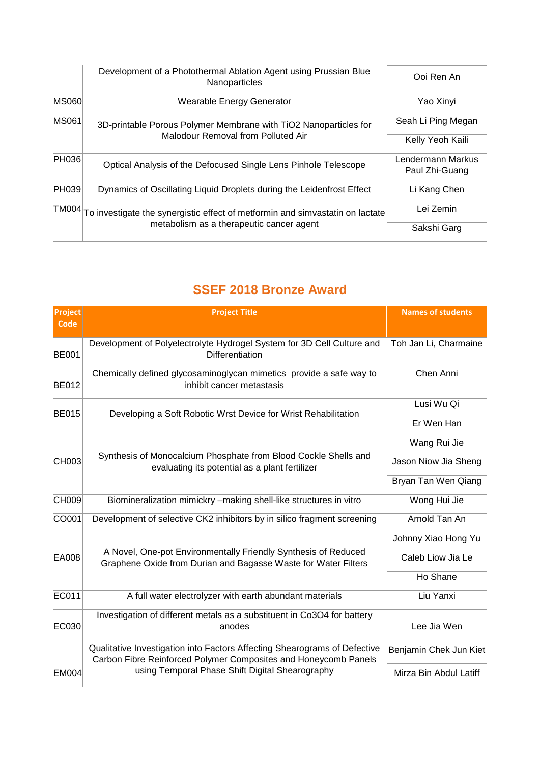|              | Development of a Photothermal Ablation Agent using Prussian Blue<br>Nanoparticles   | Ooi Ren An                          |
|--------------|-------------------------------------------------------------------------------------|-------------------------------------|
| <b>MS060</b> | Wearable Energy Generator                                                           | Yao Xinyi                           |
| <b>MS061</b> | 3D-printable Porous Polymer Membrane with TiO2 Nanoparticles for                    | Seah Li Ping Megan                  |
|              | Malodour Removal from Polluted Air                                                  | Kelly Yeoh Kaili                    |
| <b>PH036</b> | Optical Analysis of the Defocused Single Lens Pinhole Telescope                     | Lendermann Markus<br>Paul Zhi-Guang |
| <b>PH039</b> | Dynamics of Oscillating Liquid Droplets during the Leidenfrost Effect               | Li Kang Chen                        |
|              | TM004 To investigate the synergistic effect of metformin and simvastatin on lactate | Lei Zemin                           |
|              | metabolism as a therapeutic cancer agent                                            | Sakshi Garg                         |

#### **SSEF 2018 Bronze Award**

| <b>Project</b> | <b>Project Title</b>                                                                                                                         | <b>Names of students</b> |
|----------------|----------------------------------------------------------------------------------------------------------------------------------------------|--------------------------|
| <b>Code</b>    |                                                                                                                                              |                          |
| <b>BE001</b>   | Development of Polyelectrolyte Hydrogel System for 3D Cell Culture and<br>Differentiation                                                    | Toh Jan Li, Charmaine    |
| <b>BE012</b>   | Chemically defined glycosaminoglycan mimetics provide a safe way to<br>inhibit cancer metastasis                                             | Chen Anni                |
| <b>BE015</b>   | Developing a Soft Robotic Wrst Device for Wrist Rehabilitation                                                                               | Lusi Wu Qi               |
|                |                                                                                                                                              | Er Wen Han               |
|                |                                                                                                                                              | Wang Rui Jie             |
| CH003          | Synthesis of Monocalcium Phosphate from Blood Cockle Shells and<br>evaluating its potential as a plant fertilizer                            | Jason Niow Jia Sheng     |
|                |                                                                                                                                              | Bryan Tan Wen Qiang      |
| <b>CH009</b>   | Biomineralization mimickry -making shell-like structures in vitro                                                                            | Wong Hui Jie             |
| CO001          | Development of selective CK2 inhibitors by in silico fragment screening                                                                      | Arnold Tan An            |
|                |                                                                                                                                              | Johnny Xiao Hong Yu      |
| EA008          | A Novel, One-pot Environmentally Friendly Synthesis of Reduced<br>Graphene Oxide from Durian and Bagasse Waste for Water Filters             | Caleb Liow Jia Le        |
|                |                                                                                                                                              | Ho Shane                 |
| EC011          | A full water electrolyzer with earth abundant materials                                                                                      | Liu Yanxi                |
| EC030          | Investigation of different metals as a substituent in Co3O4 for battery<br>anodes                                                            | Lee Jia Wen              |
|                | Qualitative Investigation into Factors Affecting Shearograms of Defective<br>Carbon Fibre Reinforced Polymer Composites and Honeycomb Panels | Benjamin Chek Jun Kiet   |
| <b>EM004</b>   | using Temporal Phase Shift Digital Shearography                                                                                              | Mirza Bin Abdul Latiff   |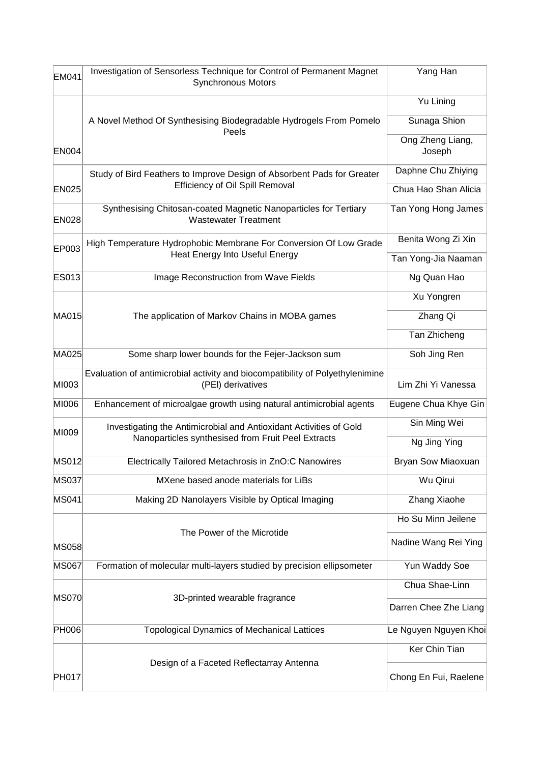| <b>EM041</b> | Investigation of Sensorless Technique for Control of Permanent Magnet<br><b>Synchronous Motors</b> | Yang Han                   |
|--------------|----------------------------------------------------------------------------------------------------|----------------------------|
|              |                                                                                                    | Yu Lining                  |
|              | A Novel Method Of Synthesising Biodegradable Hydrogels From Pomelo<br>Peels                        | Sunaga Shion               |
| <b>EN004</b> |                                                                                                    | Ong Zheng Liang,<br>Joseph |
|              | Study of Bird Feathers to Improve Design of Absorbent Pads for Greater                             | Daphne Chu Zhiying         |
| <b>EN025</b> | <b>Efficiency of Oil Spill Removal</b>                                                             | Chua Hao Shan Alicia       |
| <b>EN028</b> | Synthesising Chitosan-coated Magnetic Nanoparticles for Tertiary<br><b>Wastewater Treatment</b>    | Tan Yong Hong James        |
| EP003        | High Temperature Hydrophobic Membrane For Conversion Of Low Grade                                  | Benita Wong Zi Xin         |
|              | Heat Energy Into Useful Energy                                                                     | Tan Yong-Jia Naaman        |
| ES013        | Image Reconstruction from Wave Fields                                                              | Ng Quan Hao                |
|              |                                                                                                    | Xu Yongren                 |
| MA015        | The application of Markov Chains in MOBA games                                                     | Zhang Qi                   |
|              |                                                                                                    | Tan Zhicheng               |
| MA025        | Some sharp lower bounds for the Fejer-Jackson sum                                                  | Soh Jing Ren               |
| MI003        | Evaluation of antimicrobial activity and biocompatibility of Polyethylenimine<br>(PEI) derivatives | Lim Zhi Yi Vanessa         |
| MI006        | Enhancement of microalgae growth using natural antimicrobial agents                                | Eugene Chua Khye Gin       |
| MI009        | Investigating the Antimicrobial and Antioxidant Activities of Gold                                 | Sin Ming Wei               |
|              | Nanoparticles synthesised from Fruit Peel Extracts                                                 | Ng Jing Ying               |
| <b>MS012</b> | Electrically Tailored Metachrosis in ZnO:C Nanowires                                               | Bryan Sow Miaoxuan         |
| <b>MS037</b> | MXene based anode materials for LiBs                                                               | Wu Qirui                   |
| <b>MS041</b> | Making 2D Nanolayers Visible by Optical Imaging                                                    | Zhang Xiaohe               |
|              |                                                                                                    | Ho Su Minn Jeilene         |
| MS058        | The Power of the Microtide                                                                         | Nadine Wang Rei Ying       |
| <b>MS067</b> | Formation of molecular multi-layers studied by precision ellipsometer                              | Yun Waddy Soe              |
| <b>MS070</b> | 3D-printed wearable fragrance                                                                      | Chua Shae-Linn             |
|              |                                                                                                    | Darren Chee Zhe Liang      |
| <b>PH006</b> | <b>Topological Dynamics of Mechanical Lattices</b>                                                 | Le Nguyen Nguyen Khoi      |
|              |                                                                                                    | Ker Chin Tian              |
| <b>PH017</b> | Design of a Faceted Reflectarray Antenna                                                           | Chong En Fui, Raelene      |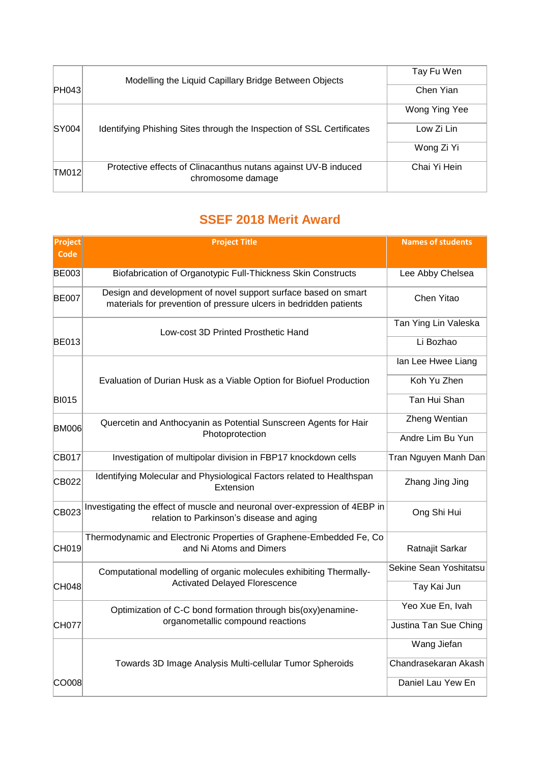|       | Modelling the Liquid Capillary Bridge Between Objects                               | Tay Fu Wen    |
|-------|-------------------------------------------------------------------------------------|---------------|
| PH043 |                                                                                     | Chen Yian     |
|       |                                                                                     | Wong Ying Yee |
| SY004 | Identifying Phishing Sites through the Inspection of SSL Certificates               | Low Zi Lin    |
|       |                                                                                     | Wong Zi Yi    |
| TM012 | Protective effects of Clinacanthus nutans against UV-B induced<br>chromosome damage | Chai Yi Hein  |

### **SSEF 2018 Merit Award**

| <b>Project</b><br>Code | <b>Project Title</b>                                                                                                                | <b>Names of students</b> |
|------------------------|-------------------------------------------------------------------------------------------------------------------------------------|--------------------------|
| <b>BE003</b>           | Biofabrication of Organotypic Full-Thickness Skin Constructs                                                                        | Lee Abby Chelsea         |
| <b>BE007</b>           | Design and development of novel support surface based on smart<br>materials for prevention of pressure ulcers in bedridden patients | Chen Yitao               |
|                        | Low-cost 3D Printed Prosthetic Hand                                                                                                 | Tan Ying Lin Valeska     |
| <b>BE013</b>           |                                                                                                                                     | Li Bozhao                |
|                        |                                                                                                                                     | Ian Lee Hwee Liang       |
|                        | Evaluation of Durian Husk as a Viable Option for Biofuel Production                                                                 | Koh Yu Zhen              |
| <b>BI015</b>           |                                                                                                                                     | Tan Hui Shan             |
| <b>BM006</b>           | Quercetin and Anthocyanin as Potential Sunscreen Agents for Hair                                                                    | Zheng Wentian            |
|                        | Photoprotection                                                                                                                     | Andre Lim Bu Yun         |
| CB017                  | Investigation of multipolar division in FBP17 knockdown cells                                                                       | Tran Nguyen Manh Dan     |
| CB022                  | Identifying Molecular and Physiological Factors related to Healthspan<br>Extension                                                  | Zhang Jing Jing          |
| CB023                  | Investigating the effect of muscle and neuronal over-expression of 4EBP in<br>relation to Parkinson's disease and aging             | Ong Shi Hui              |
| CH019                  | Thermodynamic and Electronic Properties of Graphene-Embedded Fe, Co<br>and Ni Atoms and Dimers                                      | Ratnajit Sarkar          |
|                        | Computational modelling of organic molecules exhibiting Thermally-                                                                  | Sekine Sean Yoshitatsu   |
| CH048                  | <b>Activated Delayed Florescence</b>                                                                                                | Tay Kai Jun              |
|                        | Optimization of C-C bond formation through bis(oxy)enamine-                                                                         | Yeo Xue En, Ivah         |
| <b>CH077</b>           | organometallic compound reactions                                                                                                   | Justina Tan Sue Ching    |
|                        |                                                                                                                                     | Wang Jiefan              |
|                        | Towards 3D Image Analysis Multi-cellular Tumor Spheroids                                                                            | Chandrasekaran Akash     |
| CO008                  |                                                                                                                                     | Daniel Lau Yew En        |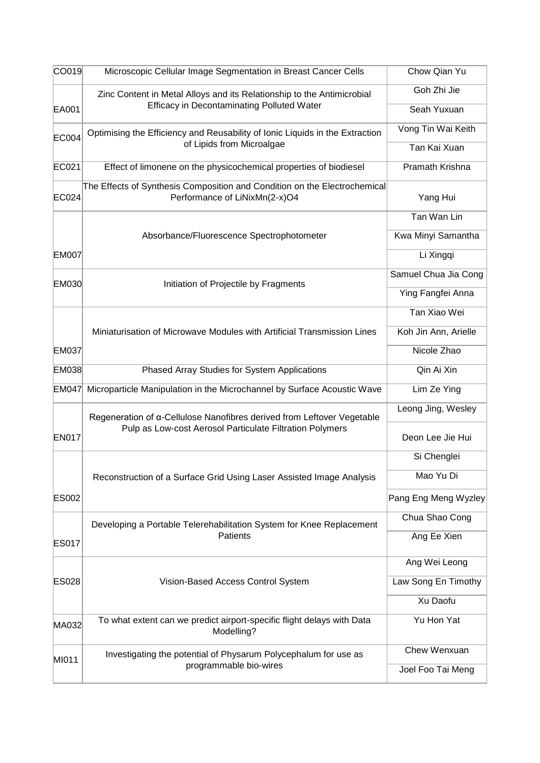| CO019        | Microscopic Cellular Image Segmentation in Breast Cancer Cells                                             | Chow Qian Yu         |
|--------------|------------------------------------------------------------------------------------------------------------|----------------------|
|              | Zinc Content in Metal Alloys and its Relationship to the Antimicrobial                                     | Goh Zhi Jie          |
| EA001        | <b>Efficacy in Decontaminating Polluted Water</b>                                                          | Seah Yuxuan          |
| <b>EC004</b> | Optimising the Efficiency and Reusability of Ionic Liquids in the Extraction                               | Vong Tin Wai Keith   |
|              | of Lipids from Microalgae                                                                                  | Tan Kai Xuan         |
| EC021        | Effect of limonene on the physicochemical properties of biodiesel                                          | Pramath Krishna      |
| EC024        | The Effects of Synthesis Composition and Condition on the Electrochemical<br>Performance of LiNixMn(2-x)O4 | Yang Hui             |
|              |                                                                                                            | Tan Wan Lin          |
|              | Absorbance/Fluorescence Spectrophotometer                                                                  | Kwa Minyi Samantha   |
| <b>EM007</b> |                                                                                                            | Li Xingqi            |
| EM030        | Initiation of Projectile by Fragments                                                                      | Samuel Chua Jia Cong |
|              |                                                                                                            | Ying Fangfei Anna    |
|              |                                                                                                            | Tan Xiao Wei         |
|              | Miniaturisation of Microwave Modules with Artificial Transmission Lines                                    | Koh Jin Ann, Arielle |
| <b>EM037</b> |                                                                                                            | Nicole Zhao          |
| EM038        | Phased Array Studies for System Applications                                                               | Qin Ai Xin           |
| EM047        | Microparticle Manipulation in the Microchannel by Surface Acoustic Wave                                    | Lim Ze Ying          |
|              | Regeneration of a-Cellulose Nanofibres derived from Leftover Vegetable                                     | Leong Jing, Wesley   |
| <b>EN017</b> | Pulp as Low-cost Aerosol Particulate Filtration Polymers                                                   | Deon Lee Jie Hui     |
|              |                                                                                                            | Si Chenglei          |
|              | Reconstruction of a Surface Grid Using Laser Assisted Image Analysis                                       | Mao Yu Di            |
| <b>ES002</b> |                                                                                                            | Pang Eng Meng Wyzley |
|              | Developing a Portable Telerehabilitation System for Knee Replacement                                       | Chua Shao Cong       |
| <b>ES017</b> | Patients                                                                                                   | Ang Ee Xien          |
|              |                                                                                                            | Ang Wei Leong        |
| <b>ES028</b> | Vision-Based Access Control System                                                                         | Law Song En Timothy  |
|              |                                                                                                            | Xu Daofu             |
| MA032        | To what extent can we predict airport-specific flight delays with Data<br>Modelling?                       | Yu Hon Yat           |
|              | Investigating the potential of Physarum Polycephalum for use as                                            | Chew Wenxuan         |
| MI011        | programmable bio-wires                                                                                     | Joel Foo Tai Meng    |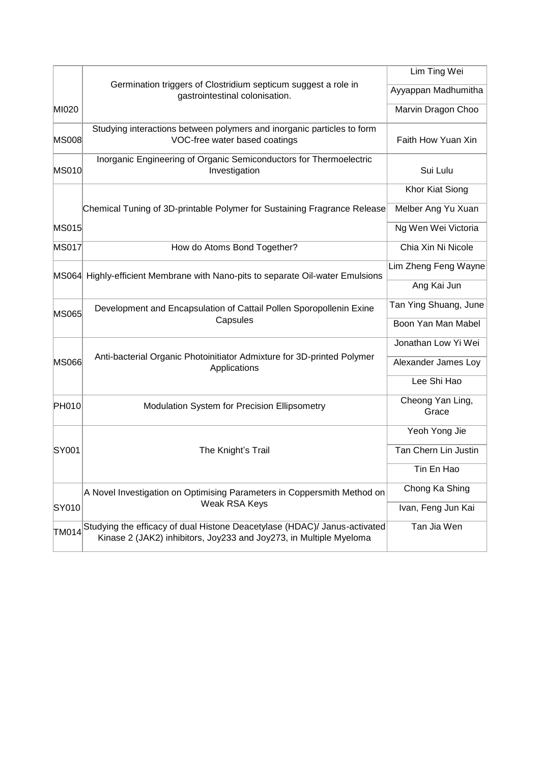|              |                                                                                                                                                 | Lim Ting Wei              |
|--------------|-------------------------------------------------------------------------------------------------------------------------------------------------|---------------------------|
|              | Germination triggers of Clostridium septicum suggest a role in<br>gastrointestinal colonisation.                                                | Ayyappan Madhumitha       |
| MI020        |                                                                                                                                                 | Marvin Dragon Choo        |
| <b>MS008</b> | Studying interactions between polymers and inorganic particles to form<br>VOC-free water based coatings                                         | Faith How Yuan Xin        |
| <b>MS010</b> | Inorganic Engineering of Organic Semiconductors for Thermoelectric<br>Investigation                                                             | Sui Lulu                  |
|              |                                                                                                                                                 | <b>Khor Kiat Siong</b>    |
|              | Chemical Tuning of 3D-printable Polymer for Sustaining Fragrance Release                                                                        | Melber Ang Yu Xuan        |
| <b>MS015</b> |                                                                                                                                                 | Ng Wen Wei Victoria       |
| <b>MS017</b> | How do Atoms Bond Together?                                                                                                                     | Chia Xin Ni Nicole        |
|              | MS064 Highly-efficient Membrane with Nano-pits to separate Oil-water Emulsions                                                                  | Lim Zheng Feng Wayne      |
|              |                                                                                                                                                 | Ang Kai Jun               |
| <b>MS065</b> | Development and Encapsulation of Cattail Pollen Sporopollenin Exine                                                                             | Tan Ying Shuang, June     |
|              | Capsules                                                                                                                                        | Boon Yan Man Mabel        |
|              | Anti-bacterial Organic Photoinitiator Admixture for 3D-printed Polymer                                                                          | Jonathan Low Yi Wei       |
| <b>MS066</b> | Applications                                                                                                                                    | Alexander James Loy       |
|              |                                                                                                                                                 | Lee Shi Hao               |
| PH010        | Modulation System for Precision Ellipsometry                                                                                                    | Cheong Yan Ling,<br>Grace |
|              |                                                                                                                                                 | Yeoh Yong Jie             |
| SY001        | The Knight's Trail                                                                                                                              | Tan Chern Lin Justin      |
|              |                                                                                                                                                 | Tin En Hao                |
|              | A Novel Investigation on Optimising Parameters in Coppersmith Method on                                                                         | Chong Ka Shing            |
| SY010        | Weak RSA Keys                                                                                                                                   | Ivan, Feng Jun Kai        |
| <b>TM014</b> | Studying the efficacy of dual Histone Deacetylase (HDAC)/ Janus-activated<br>Kinase 2 (JAK2) inhibitors, Joy233 and Joy273, in Multiple Myeloma | Tan Jia Wen               |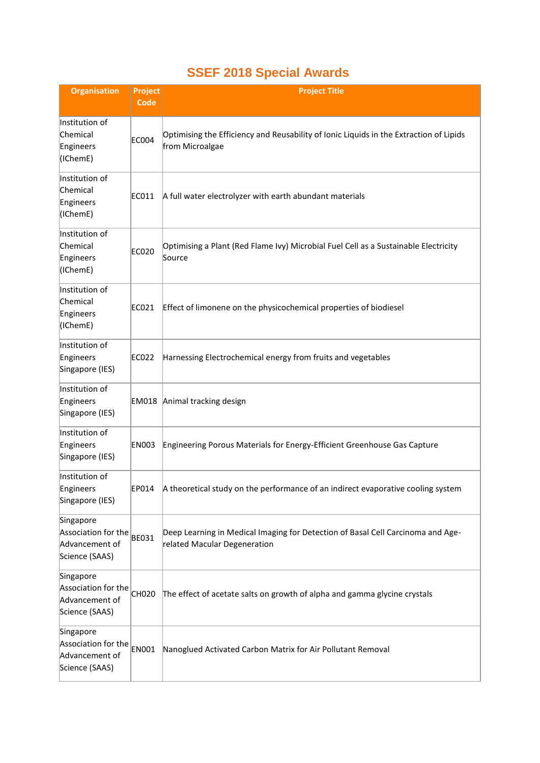### **SSEF 2018 Special Awards**

| <b>Organisation</b>                                                  | <b>Project</b><br>Code | <b>Project Title</b>                                                                                            |
|----------------------------------------------------------------------|------------------------|-----------------------------------------------------------------------------------------------------------------|
| Institution of<br>Chemical<br>Engineers<br>(IChemE)                  | <b>EC004</b>           | Optimising the Efficiency and Reusability of Ionic Liquids in the Extraction of Lipids<br>from Microalgae       |
| Institution of<br>Chemical<br>Engineers<br>(IChemE)                  | EC011                  | A full water electrolyzer with earth abundant materials                                                         |
| Institution of<br>Chemical<br>Engineers<br>(IChemE)                  | EC020                  | Optimising a Plant (Red Flame Ivy) Microbial Fuel Cell as a Sustainable Electricity<br>Source                   |
| Institution of<br>Chemical<br>Engineers<br>(IChemE)                  | EC021                  | Effect of limonene on the physicochemical properties of biodiesel                                               |
| Institution of<br>Engineers<br>Singapore (IES)                       | EC022                  | Harnessing Electrochemical energy from fruits and vegetables                                                    |
| Institution of<br>Engineers<br>Singapore (IES)                       |                        | EM018 Animal tracking design                                                                                    |
| Institution of<br>Engineers<br>Singapore (IES)                       | <b>EN003</b>           | Engineering Porous Materials for Energy-Efficient Greenhouse Gas Capture                                        |
| Institution of<br>Engineers<br>Singapore (IES)                       | EP014                  | A theoretical study on the performance of an indirect evaporative cooling system                                |
| Singapore<br>Association for the<br>Advancement of<br>Science (SAAS) | <b>BE031</b>           | Deep Learning in Medical Imaging for Detection of Basal Cell Carcinoma and Age-<br>related Macular Degeneration |
| Singapore<br>Association for the<br>Advancement of<br>Science (SAAS) | CH020                  | The effect of acetate salts on growth of alpha and gamma glycine crystals                                       |
| Singapore<br>Association for the<br>Advancement of<br>Science (SAAS) | <b>EN001</b>           | Nanoglued Activated Carbon Matrix for Air Pollutant Removal                                                     |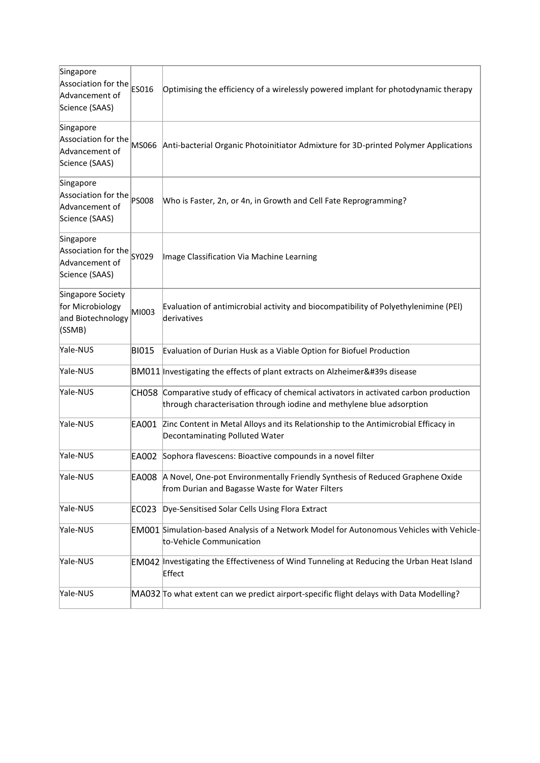| Singapore<br>Association for the<br>Advancement of<br>Science (SAAS) | ES016        | Optimising the efficiency of a wirelessly powered implant for photodynamic therapy                                                                           |
|----------------------------------------------------------------------|--------------|--------------------------------------------------------------------------------------------------------------------------------------------------------------|
| Singapore<br>Association for the<br>Advancement of<br>Science (SAAS) | MS066        | Anti-bacterial Organic Photoinitiator Admixture for 3D-printed Polymer Applications                                                                          |
| Singapore<br>Association for the<br>Advancement of<br>Science (SAAS) | <b>PS008</b> | Who is Faster, 2n, or 4n, in Growth and Cell Fate Reprogramming?                                                                                             |
| Singapore<br>Association for the<br>Advancement of<br>Science (SAAS) | SY029        | Image Classification Via Machine Learning                                                                                                                    |
| Singapore Society<br>for Microbiology<br>and Biotechnology<br>(SSMB) | MI003        | Evaluation of antimicrobial activity and biocompatibility of Polyethylenimine (PEI)<br>derivatives                                                           |
| Yale-NUS                                                             | <b>BI015</b> | Evaluation of Durian Husk as a Viable Option for Biofuel Production                                                                                          |
| Yale-NUS                                                             |              | BM011 Investigating the effects of plant extracts on Alzheimer's disease                                                                                     |
| Yale-NUS                                                             | <b>CH058</b> | Comparative study of efficacy of chemical activators in activated carbon production<br>through characterisation through iodine and methylene blue adsorption |
| Yale-NUS                                                             | EA001        | Zinc Content in Metal Alloys and its Relationship to the Antimicrobial Efficacy in<br>Decontaminating Polluted Water                                         |
| Yale-NUS                                                             |              | EA002 Sophora flavescens: Bioactive compounds in a novel filter                                                                                              |
| Yale-NUS                                                             |              | EA008 A Novel, One-pot Environmentally Friendly Synthesis of Reduced Graphene Oxide<br>from Durian and Bagasse Waste for Water Filters                       |
| Yale-NUS                                                             | EC023        | Dye-Sensitised Solar Cells Using Flora Extract                                                                                                               |
| Yale-NUS                                                             |              | EM001 Simulation-based Analysis of a Network Model for Autonomous Vehicles with Vehicle-<br>to-Vehicle Communication                                         |
| Yale-NUS                                                             |              | <b>EM042</b> Investigating the Effectiveness of Wind Tunneling at Reducing the Urban Heat Island<br>Effect                                                   |
| Yale-NUS                                                             |              | MA032 To what extent can we predict airport-specific flight delays with Data Modelling?                                                                      |